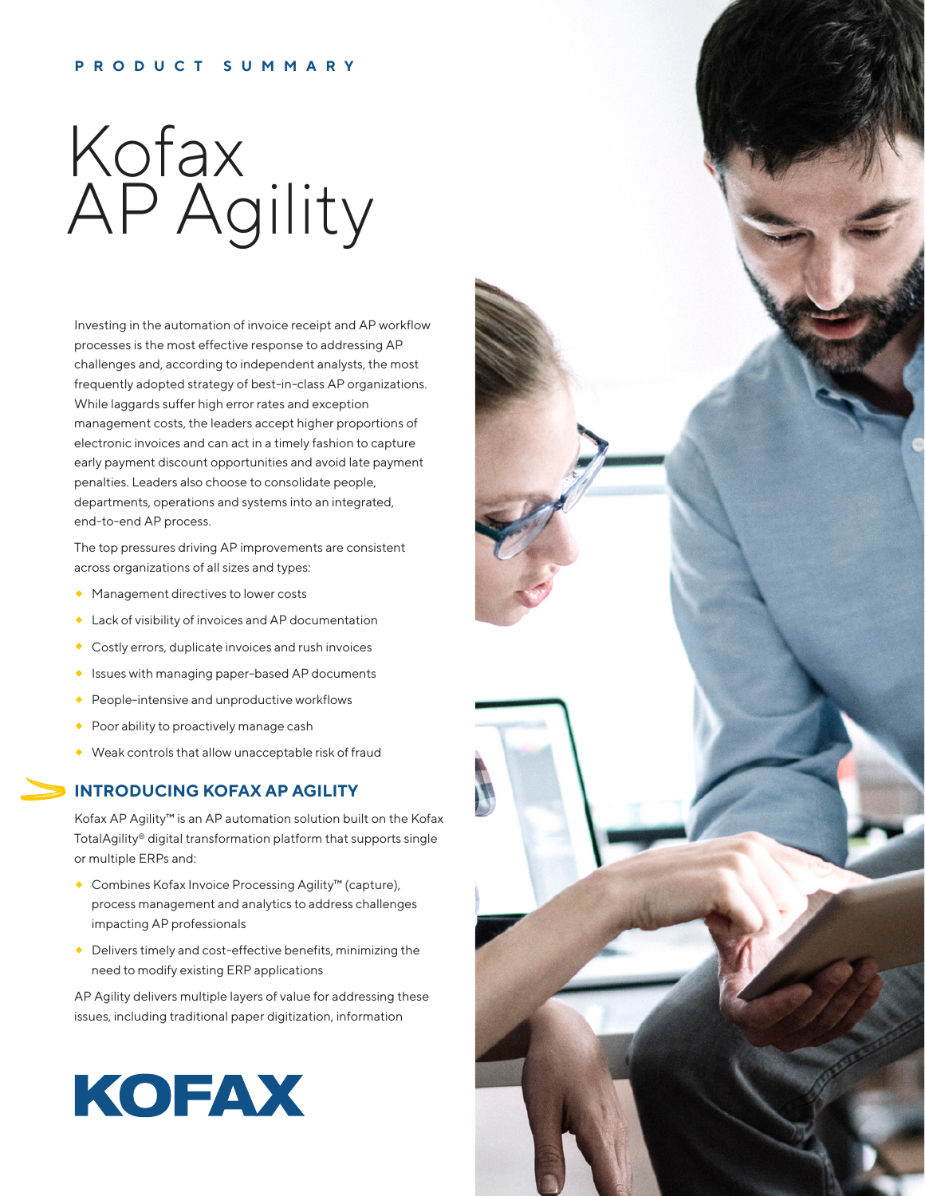#### **PRODUCT SUMMARY**

# Kofax AP Agility

Investing in the automation of invoice receipt and AP workflow processes is the most effective response to addressing AP challenges and, according to independent analysts, the most frequently adopted strategy of best-in-class AP organizations. While laggards suffer high error rates and exception management costs, the leaders accept higher proportions of electronic invoices and can act in a timely fashion to capture early payment discount opportunities and avoid late payment penalties. Leaders also choose to consolidate people, departments, operations and systems into an integrated, end-to-end AP process.

The top pressures driving AP improvements are consistent across organizations of all sizes and types:

- **Management directives to lower costs**
- Lack of visibility of invoices and AP documentation
- ◆ Costly errors, duplicate invoices and rush invoices
- Issues with managing paper-based AP documents
- People-intensive and unproductive workflows
- ◆ Poor ability to proactively manage cash
- Weak controls that allow unacceptable risk of fraud

#### **INTRODUCING KOFAX AP AGILITY**

Kofax AP Agility™ is an AP automation solution built on the Kofax TotalAgility® digital transformation platform that supports single or multiple ERPs and:

- Combines Kofax Invoice Processing Agility™ (capture), process management and analytics to address challenges impacting AP professionals
- Delivers timely and cost-effective benefits, minimizing the need to modify existing ERP applications

AP Agility delivers multiple layers of value for addressing these issues, including traditional paper digitization, information